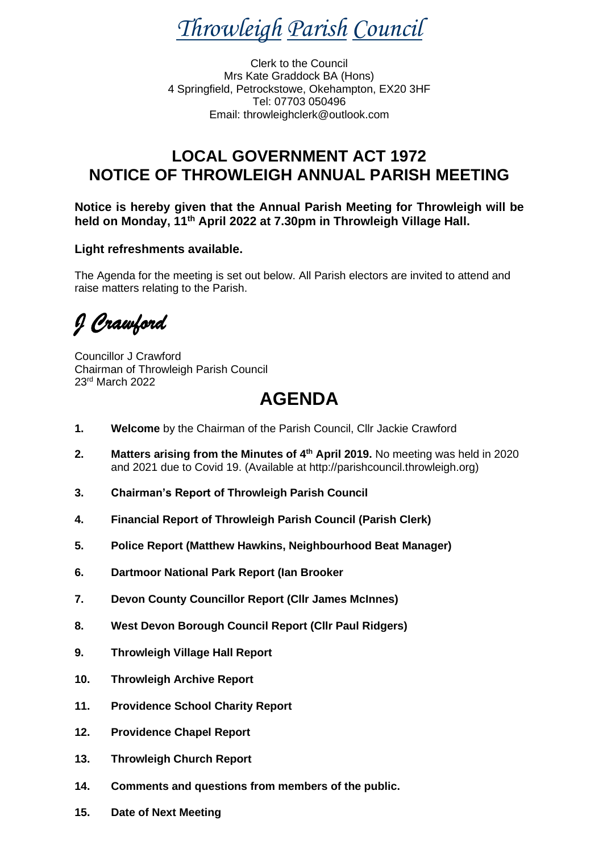*Throwleigh Parish Council*

Clerk to the Council Mrs Kate Graddock BA (Hons) 4 Springfield, Petrockstowe, Okehampton, EX20 3HF Tel: 07703 050496 Email: throwleighclerk@outlook.com

### **LOCAL GOVERNMENT ACT 1972 NOTICE OF THROWLEIGH ANNUAL PARISH MEETING**

**Notice is hereby given that the Annual Parish Meeting for Throwleigh will be held on Monday, 11th April 2022 at 7.30pm in Throwleigh Village Hall.** 

#### **Light refreshments available.**

The Agenda for the meeting is set out below. All Parish electors are invited to attend and raise matters relating to the Parish.

*J Crawford* 

Councillor J Crawford Chairman of Throwleigh Parish Council 23rd March 2022

# **AGENDA**

- **1. Welcome** by the Chairman of the Parish Council, Cllr Jackie Crawford
- **2. Matters arising from the Minutes of 4 th April 2019.** No meeting was held in 2020 and 2021 due to Covid 19. (Available at http://parishcouncil.throwleigh.org)
- **3. Chairman's Report of Throwleigh Parish Council**
- **4. Financial Report of Throwleigh Parish Council (Parish Clerk)**
- **5. Police Report (Matthew Hawkins, Neighbourhood Beat Manager)**
- **6. Dartmoor National Park Report (Ian Brooker**
- **7. Devon County Councillor Report (Cllr James McInnes)**
- **8. West Devon Borough Council Report (Cllr Paul Ridgers)**
- **9. Throwleigh Village Hall Report**
- **10. Throwleigh Archive Report**
- **11. Providence School Charity Report**
- **12. Providence Chapel Report**
- **13. Throwleigh Church Report**
- **14. Comments and questions from members of the public.**
- **15. Date of Next Meeting**